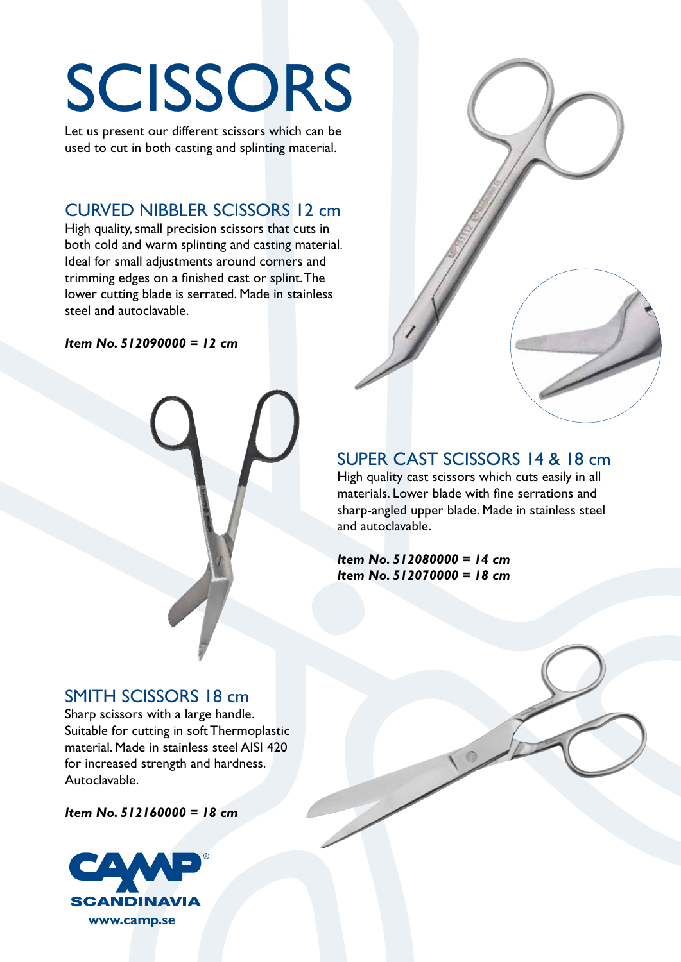Let us present our different scissors which can be used to cut in both casting and splinting material.

# CURVED NIBBLER SCISSORS 12 cm

High quality, small precision scissors that cuts in both cold and warm splinting and casting material. Ideal for small adjustments around corners and trimming edges on a finished cast or splint. The lower cutting blade is serrated. Made in stainless steel and autoclavable.

*Item No. 512090000 = 12 cm*



# SUPER CAST SCISSORS 14 & 18 cm

High quality cast scissors which cuts easily in all materials. Lower blade with fine serrations and sharp-angled upper blade. Made in stainless steel and autoclavable.

*Item No. 512080000 = 14 cm Item No. 512070000 = 18 cm*

### SMITH SCISSORS 18 cm

Sharp scissors with a large handle. Suitable for cutting in soft Thermoplastic material. Made in stainless steel AISI 420 for increased strength and hardness. Autoclavable.

*Item No. 512160000 = 18 cm*